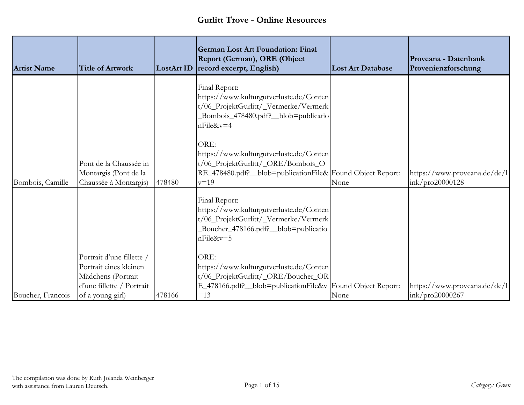| <b>Artist Name</b> | <b>Title of Artwork</b>                                                                                                    | LostArt ID | <b>German Lost Art Foundation: Final</b><br>Report (German), ORE (Object<br>record excerpt, English)                                                         | <b>Lost Art Database</b> | Proveana - Datenbank<br>Provenienzforschung      |
|--------------------|----------------------------------------------------------------------------------------------------------------------------|------------|--------------------------------------------------------------------------------------------------------------------------------------------------------------|--------------------------|--------------------------------------------------|
|                    |                                                                                                                            |            | Final Report:<br>https://www.kulturgutverluste.de/Conten<br>t/06_ProjektGurlitt/_Vermerke/Vermerk<br>Bombois_478480.pdf?_blob=publicatio<br>nFile&v=4        |                          |                                                  |
| Bombois, Camille   | Pont de la Chaussée in<br>Montargis (Pont de la<br>Chaussée à Montargis)                                                   | 478480     | ORE:<br>https://www.kulturgutverluste.de/Conten<br>t/06_ProjektGurlitt/_ORE/Bombois_O<br>RE_478480.pdf?_blob=publicationFile& Found Object Report:<br>$v=19$ | None                     | https://www.proveana.de/de/l <br>ink/pro20000128 |
|                    |                                                                                                                            |            | Final Report:<br>https://www.kulturgutverluste.de/Conten<br>t/06_ProjektGurlitt/_Vermerke/Vermerk<br>Boucher_478166.pdf?_blob=publicatio<br>$nFile&v=5$      |                          |                                                  |
| Boucher, Francois  | Portrait d'une fillette /<br>Portrait eines kleinen<br>Mädchens (Portrait<br>d'une fillette / Portrait<br>of a young girl) | 478166     | ORE:<br>https://www.kulturgutverluste.de/Conten<br>t/06_ProjektGurlitt/_ORE/Boucher_OR<br>E_478166.pdf?_blob=publicationFile&v Found Object Report:<br>$=13$ | None                     | https://www.proveana.de/de/l<br>ink/pro20000267  |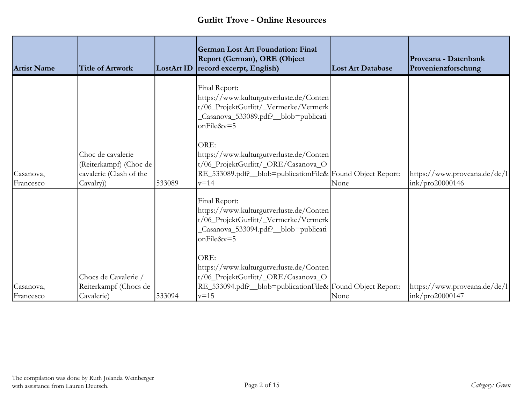| <b>Artist Name</b>     | <b>Title of Artwork</b>                                                             | <b>LostArt ID</b> | <b>German Lost Art Foundation: Final</b><br>Report (German), ORE (Object<br>record excerpt, English)                                                                                                                                                                                                                      | <b>Lost Art Database</b> | Proveana - Datenbank<br>Provenienzforschung     |
|------------------------|-------------------------------------------------------------------------------------|-------------------|---------------------------------------------------------------------------------------------------------------------------------------------------------------------------------------------------------------------------------------------------------------------------------------------------------------------------|--------------------------|-------------------------------------------------|
| Casanova,<br>Francesco | Choc de cavalerie<br>(Reiterkampf) (Choc de<br>cavalerie (Clash of the<br>Cavalry)) | 533089            | Final Report:<br>https://www.kulturgutverluste.de/Conten<br>t/06_ProjektGurlitt/_Vermerke/Vermerk<br>Casanova_533089.pdf?_blob=publicati<br>onFile&v=5<br>ORE:<br>https://www.kulturgutverluste.de/Conten<br>t/06_ProjektGurlitt/_ORE/Casanova_O<br>RE_533089.pdf?_blob=publicationFile& Found Object Report:<br>$v = 14$ | None                     | https://www.proveana.de/de/l<br>ink/pro20000146 |
|                        | Chocs de Cavalerie /                                                                |                   | Final Report:<br>https://www.kulturgutverluste.de/Conten<br>t/06_ProjektGurlitt/_Vermerke/Vermerk<br>Casanova_533094.pdf?_blob=publicati<br>onFile&v=5<br>ORE:<br>https://www.kulturgutverluste.de/Conten<br>t/06_ProjektGurlitt/_ORE/Casanova_O                                                                          |                          |                                                 |
| Casanova,              | Reiterkampf (Chocs de                                                               |                   | RE_533094.pdf?_blob=publicationFile& Found Object Report:                                                                                                                                                                                                                                                                 |                          | https://www.proveana.de/de/l                    |
| Francesco              | Cavalerie)                                                                          | 533094            | $v = 15$                                                                                                                                                                                                                                                                                                                  | None                     | ink/pro20000147                                 |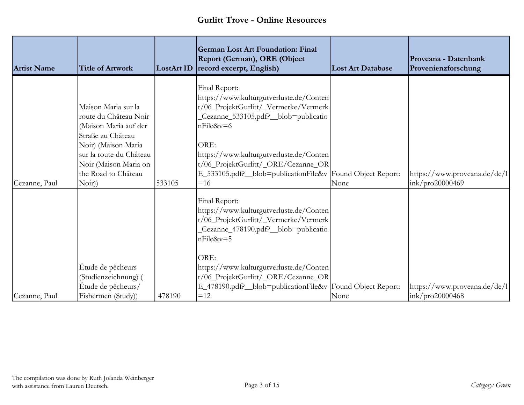| <b>Artist Name</b> | <b>Title of Artwork</b>                                                                                                                                                                               | <b>LostArt ID</b> | <b>German Lost Art Foundation: Final</b><br>Report (German), ORE (Object<br>record excerpt, English)                                                                                                                                                                                                                    | <b>Lost Art Database</b> | Proveana - Datenbank<br>Provenienzforschung     |
|--------------------|-------------------------------------------------------------------------------------------------------------------------------------------------------------------------------------------------------|-------------------|-------------------------------------------------------------------------------------------------------------------------------------------------------------------------------------------------------------------------------------------------------------------------------------------------------------------------|--------------------------|-------------------------------------------------|
| Cezanne, Paul      | Maison Maria sur la<br>route du Château Noir<br>(Maison Maria auf der<br>Straße zu Château<br>Noir) (Maison Maria<br>sur la route du Château<br>Noir (Maison Maria on<br>the Road to Château<br>Noir) | 533105            | Final Report:<br>https://www.kulturgutverluste.de/Conten<br>t/06_ProjektGurlitt/_Vermerke/Vermerk<br>Cezanne_533105.pdf?_blob=publicatio<br>$nFile&v=6$<br>ORE:<br>https://www.kulturgutverluste.de/Conten<br>t/06_ProjektGurlitt/_ORE/Cezanne_OR<br>E_533105.pdf?_blob=publicationFile&v Found Object Report:<br>$=16$ | None                     | https://www.proveana.de/de/l<br>ink/pro20000469 |
|                    | Étude de pêcheurs<br>(Studienzeichnung) (                                                                                                                                                             |                   | Final Report:<br>https://www.kulturgutverluste.de/Conten<br>t/06_ProjektGurlitt/_Vermerke/Vermerk<br>Cezanne_478190.pdf?_blob=publicatio<br>$nFile&v=5$<br>ORE:<br>https://www.kulturgutverluste.de/Conten<br>t/06_ProjektGurlitt/_ORE/Cezanne_OR<br>E_478190.pdf?_blob=publicationFile&v Found Object Report:          |                          |                                                 |
| Cezanne, Paul      | Étude de pêcheurs/<br>Fishermen (Study))                                                                                                                                                              | 478190            | $=12$                                                                                                                                                                                                                                                                                                                   | None                     | https://www.proveana.de/de/l<br>ink/pro20000468 |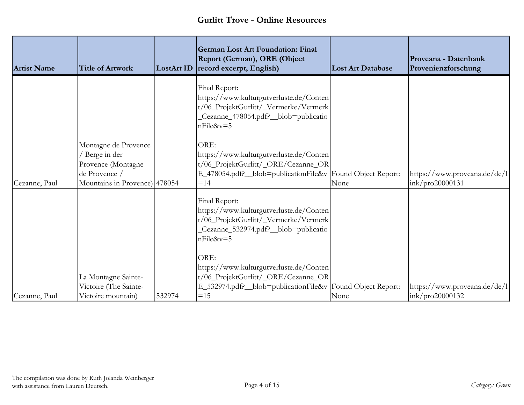| <b>Artist Name</b> | <b>Title of Artwork</b>                                                                                        | <b>LostArt ID</b> | <b>German Lost Art Foundation: Final</b><br>Report (German), ORE (Object<br>record excerpt, English)                                                         | <b>Lost Art Database</b> | Proveana - Datenbank<br>Provenienzforschung      |
|--------------------|----------------------------------------------------------------------------------------------------------------|-------------------|--------------------------------------------------------------------------------------------------------------------------------------------------------------|--------------------------|--------------------------------------------------|
|                    |                                                                                                                |                   | Final Report:<br>https://www.kulturgutverluste.de/Conten<br>t/06_ProjektGurlitt/_Vermerke/Vermerk<br>Cezanne_478054.pdf?_blob=publicatio<br>$nFile&v=5$      |                          |                                                  |
| Cezanne, Paul      | Montagne de Provence<br>/ Berge in der<br>Provence (Montagne<br>de Provence /<br>Mountains in Provence) 478054 |                   | ORE:<br>https://www.kulturgutverluste.de/Conten<br>t/06_ProjektGurlitt/_ORE/Cezanne_OR<br>E_478054.pdf?_blob=publicationFile&v Found Object Report:<br>$=14$ | None                     | https://www.proveana.de/de/l<br>ink/pro20000131  |
|                    |                                                                                                                |                   | Final Report:<br>https://www.kulturgutverluste.de/Conten<br>t/06_ProjektGurlitt/_Vermerke/Vermerk<br>Cezanne_532974.pdf?_blob=publicatio<br>$nFile&v=5$      |                          |                                                  |
| Cezanne, Paul      | La Montagne Sainte-<br>Victoire (The Sainte-<br>Victoire mountain)                                             | 532974            | ORE:<br>https://www.kulturgutverluste.de/Conten<br>t/06_ProjektGurlitt/_ORE/Cezanne_OR<br>E_532974.pdf?_blob=publicationFile&v Found Object Report:<br>$=15$ | None                     | https://www.proveana.de/de/l <br>ink/pro20000132 |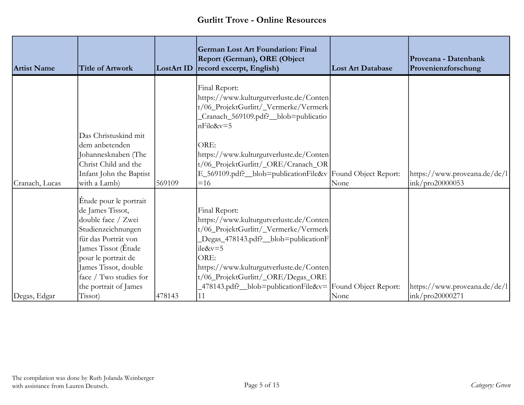| <b>Artist Name</b> | <b>Title of Artwork</b>                                                                                                                                                                                                                | LostArt ID | <b>German Lost Art Foundation: Final</b><br>Report (German), ORE (Object<br>record excerpt, English)                                                                                                                                                                                                           | <b>Lost Art Database</b> | Proveana - Datenbank<br>Provenienzforschung |
|--------------------|----------------------------------------------------------------------------------------------------------------------------------------------------------------------------------------------------------------------------------------|------------|----------------------------------------------------------------------------------------------------------------------------------------------------------------------------------------------------------------------------------------------------------------------------------------------------------------|--------------------------|---------------------------------------------|
|                    | Das Christuskind mit<br>dem anbetenden<br>Johannesknaben (The                                                                                                                                                                          |            | Final Report:<br>https://www.kulturgutverluste.de/Conten<br>t/06_ProjektGurlitt/_Vermerke/Vermerk<br>Cranach_569109.pdf?_blob=publicatio<br>$nFile&v=5$<br>ORE:<br>https://www.kulturgutverluste.de/Conten                                                                                                     |                          |                                             |
|                    | Christ Child and the                                                                                                                                                                                                                   |            | t/06_ProjektGurlitt/_ORE/Cranach_OR                                                                                                                                                                                                                                                                            |                          |                                             |
|                    | Infant John the Baptist                                                                                                                                                                                                                |            | E_569109.pdf?_blob=publicationFile&v Found Object Report:                                                                                                                                                                                                                                                      |                          | https://www.proveana.de/de/l                |
| Cranach, Lucas     | with a Lamb)                                                                                                                                                                                                                           | 569109     | $=16$                                                                                                                                                                                                                                                                                                          | None                     | ink/pro20000053                             |
|                    | Etude pour le portrait<br>de James Tissot,<br>double face / Zwei<br>Studienzeichnungen<br>für das Porträt von<br>James Tissot (Étude<br>pour le portrait de<br>James Tissot, double<br>face / Two studies for<br>the portrait of James |            | Final Report:<br>https://www.kulturgutverluste.de/Conten<br>t/06_ProjektGurlitt/_Vermerke/Vermerk<br>Degas_478143.pdf?_blob=publicationF<br>$ile&v=5$<br>ORE:<br>https://www.kulturgutverluste.de/Conten<br>t/06_ProjektGurlitt/_ORE/Degas_ORE<br>$-478143$ .pdf? blob=publicationFile&v= Found Object Report: |                          | https://www.proveana.de/de/l                |
| Degas, Edgar       | Tissot)                                                                                                                                                                                                                                | 478143     | 11                                                                                                                                                                                                                                                                                                             | None                     | ink/pro20000271                             |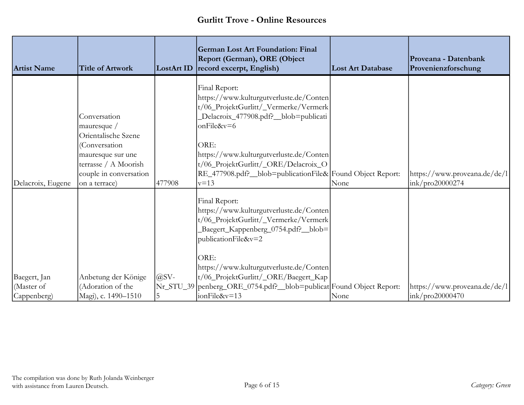| <b>Artist Name</b>        | <b>Title of Artwork</b>                                                                                                                                     | <b>LostArt ID</b> | <b>German Lost Art Foundation: Final</b><br>Report (German), ORE (Object<br>record excerpt, English)                                                                                                                                                                                                                        | <b>Lost Art Database</b> | Proveana - Datenbank<br>Provenienzforschung                   |
|---------------------------|-------------------------------------------------------------------------------------------------------------------------------------------------------------|-------------------|-----------------------------------------------------------------------------------------------------------------------------------------------------------------------------------------------------------------------------------------------------------------------------------------------------------------------------|--------------------------|---------------------------------------------------------------|
| Delacroix, Eugene         | Conversation<br>mauresque /<br>Orientalische Szene<br>(Conversation<br>mauresque sur une<br>terrasse / A Moorish<br>couple in conversation<br>on a terrace) | 477908            | Final Report:<br>https://www.kulturgutverluste.de/Conten<br>t/06_ProjektGurlitt/_Vermerke/Vermerk<br>Delacroix_477908.pdf?_blob=publicati<br>onFile&v=6<br>ORE:<br>https://www.kulturgutverluste.de/Conten<br>t/06_ProjektGurlitt/_ORE/Delacroix_O<br>RE_477908.pdf?_blob=publicationFile& Found Object Report:<br>$v = 13$ | None                     | https://www.proveana.de/de/l<br>ink/pro20000274               |
| Baegert, Jan              | Anbetung der Könige                                                                                                                                         | $\omega$ SV-      | Final Report:<br>https://www.kulturgutverluste.de/Conten<br>t/06_ProjektGurlitt/_Vermerke/Vermerk<br>Baegert_Kappenberg_0754.pdf?_blob=<br>publicationFile&v=2<br>ORE:<br>https://www.kulturgutverluste.de/Conten<br>t/06_ProjektGurlitt/_ORE/Baegert_Kap                                                                   |                          |                                                               |
| (Master of<br>Cappenberg) | (Adoration of the<br>Magi), c. 1490-1510                                                                                                                    | 5                 | Nr_STU_39  penberg_ORE_0754.pdf?_blob=publicat Found Object Report:<br>ionFile&v=13                                                                                                                                                                                                                                         | None                     | https://www.proveana.de/de/l<br>$\frac{1}{2}$ ink/pro20000470 |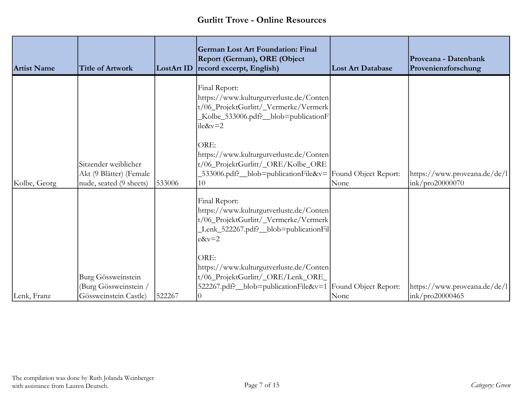| <b>Artist Name</b> | <b>Title of Artwork</b>                                                    | <b>LostArt ID</b> | <b>German Lost Art Foundation: Final</b><br>Report (German), ORE (Object<br>record excerpt, English)                                                      | <b>Lost Art Database</b> | Proveana - Datenbank<br>Provenienzforschung      |
|--------------------|----------------------------------------------------------------------------|-------------------|-----------------------------------------------------------------------------------------------------------------------------------------------------------|--------------------------|--------------------------------------------------|
|                    |                                                                            |                   | Final Report:<br>https://www.kulturgutverluste.de/Conten<br>t/06_ProjektGurlitt/_Vermerke/Vermerk<br>Kolbe_533006.pdf?_blob=publicationF<br>$ile&v=2$     |                          |                                                  |
| Kolbe, Georg       | Sitzender weiblicher<br>Akt (9 Blätter) (Female<br>nude, seated (9 sheets) | 533006            | ORE:<br>https://www.kulturgutverluste.de/Conten<br>t/06_ProjektGurlitt/_ORE/Kolbe_ORE<br>533006.pdf? _blob=publicationFile&v=  Found Object Report:<br>10 | None                     | https://www.proveana.de/de/l<br>ink/pro20000070  |
|                    |                                                                            |                   | Final Report:<br>https://www.kulturgutverluste.de/Conten<br>t/06_ProjektGurlitt/_Vermerke/Vermerk<br>Lenk_522267.pdf?_blob=publicationFil<br>$e&v=2$      |                          |                                                  |
| Lenk, Franz        | Burg Gössweinstein<br>(Burg Gössweinstein /<br>Gössweinstein Castle)       | 522267            | ORE:<br>https://www.kulturgutverluste.de/Conten<br>t/06_ProjektGurlitt/_ORE/Lenk_ORE_<br>522267.pdf? _blob=publicationFile&v=1  Found Object Report:      | None                     | https://www.proveana.de/de/l <br>ink/pro20000465 |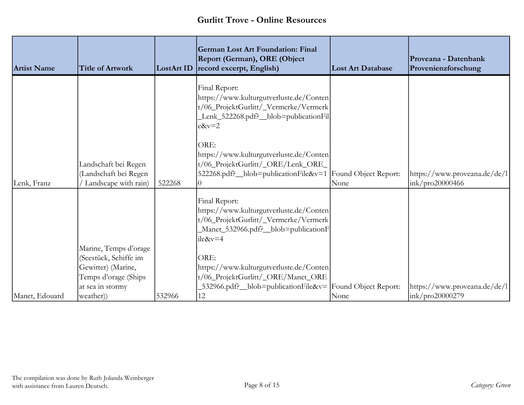| <b>Artist Name</b> | <b>Title of Artwork</b>                                                                                          | <b>LostArt ID</b> | <b>German Lost Art Foundation: Final</b><br>Report (German), ORE (Object<br>record excerpt, English)                                                  | <b>Lost Art Database</b> | Proveana - Datenbank<br>Provenienzforschung     |
|--------------------|------------------------------------------------------------------------------------------------------------------|-------------------|-------------------------------------------------------------------------------------------------------------------------------------------------------|--------------------------|-------------------------------------------------|
|                    |                                                                                                                  |                   | Final Report:<br>https://www.kulturgutverluste.de/Conten<br>t/06_ProjektGurlitt/_Vermerke/Vermerk<br>Lenk_522268.pdf?_blob=publicationFil<br>$e&v=2$  |                          |                                                 |
| Lenk, Franz        | Landschaft bei Regen<br>(Landschaft bei Regen<br>Landscape with rain)                                            | 522268            | ORE:<br>https://www.kulturgutverluste.de/Conten<br>t/06_ProjektGurlitt/_ORE/Lenk_ORE_<br>522268.pdf? _blob=publicationFile&v=1  Found Object Report:  | None                     | https://www.proveana.de/de/l<br>ink/pro20000466 |
|                    |                                                                                                                  |                   | Final Report:<br>https://www.kulturgutverluste.de/Conten<br>t/06_ProjektGurlitt/_Vermerke/Vermerk<br>Manet_532966.pdf?_blob=publicationF<br>$ile&v=4$ |                          |                                                 |
|                    | Marine, Temps d'orage<br>(Seestück, Schiffe im<br>Gewitter) (Marine,<br>Temps d'orage (Ships<br>at sea in stormy |                   | ORE:<br>https://www.kulturgutverluste.de/Conten<br>t/06_ProjektGurlitt/_ORE/Manet_ORE<br>$532966$ .pdf? blob=publicationFile&v= Found Object Report:  |                          | https://www.proveana.de/de/l                    |
| Manet, Edouard     | weather)                                                                                                         | 532966            | 12                                                                                                                                                    | None                     | ink/pro20000279                                 |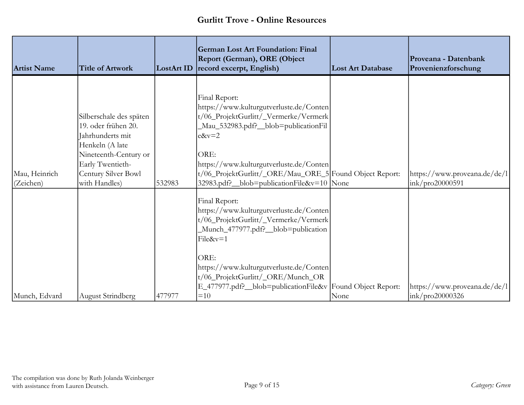| <b>Artist Name</b>         | <b>Title of Artwork</b>                                                                                                                                                    | <b>LostArt ID</b> | <b>German Lost Art Foundation: Final</b><br>Report (German), ORE (Object<br>record excerpt, English)                                                                                                                                                                                                             | <b>Lost Art Database</b> | Proveana - Datenbank<br>Provenienzforschung     |
|----------------------------|----------------------------------------------------------------------------------------------------------------------------------------------------------------------------|-------------------|------------------------------------------------------------------------------------------------------------------------------------------------------------------------------------------------------------------------------------------------------------------------------------------------------------------|--------------------------|-------------------------------------------------|
| Mau, Heinrich<br>(Zeichen) | Silberschale des späten<br>19. oder frühen 20.<br>Jahrhunderts mit<br>Henkeln (A late<br>Nineteenth-Century or<br>Early Twentieth-<br>Century Silver Bowl<br>with Handles) | 532983            | Final Report:<br>https://www.kulturgutverluste.de/Conten<br>t/06_ProjektGurlitt/_Vermerke/Vermerk<br>Mau_532983.pdf?_blob=publicationFil<br>$e&v=2$<br>ORE:<br>https://www.kulturgutverluste.de/Conten<br>t/06_ProjektGurlitt/_ORE/Mau_ORE_5 Found Object Report:<br>32983.pdf? _blob=publicationFile&v=10  None |                          | https://www.proveana.de/de/l<br>ink/pro20000591 |
|                            |                                                                                                                                                                            |                   | Final Report:<br>https://www.kulturgutverluste.de/Conten<br>t/06_ProjektGurlitt/_Vermerke/Vermerk<br>Munch_477977.pdf?_blob=publication<br>$File&v=1$<br>ORE:<br>https://www.kulturgutverluste.de/Conten<br>t/06_ProjektGurlitt/_ORE/Munch_OR<br>E_477977.pdf?_blob=publicationFile&v Found Object Report:       |                          | https://www.proveana.de/de/l                    |
| Munch, Edvard              | <b>August Strindberg</b>                                                                                                                                                   | 477977            | $=10$                                                                                                                                                                                                                                                                                                            | None                     | ink/pro20000326                                 |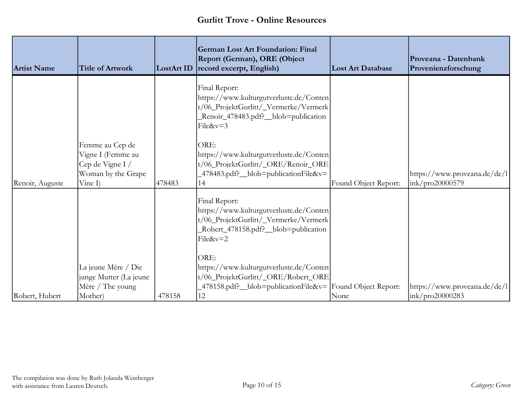| <b>Artist Name</b> | <b>Title of Artwork</b>                                                                   | <b>LostArt ID</b> | <b>German Lost Art Foundation: Final</b><br>Report (German), ORE (Object<br>record excerpt, English)                                                         | <b>Lost Art Database</b> | Proveana - Datenbank<br>Provenienzforschung      |
|--------------------|-------------------------------------------------------------------------------------------|-------------------|--------------------------------------------------------------------------------------------------------------------------------------------------------------|--------------------------|--------------------------------------------------|
|                    |                                                                                           |                   | Final Report:<br>https://www.kulturgutverluste.de/Conten<br>t/06_ProjektGurlitt/_Vermerke/Vermerk<br>Renoir_478483.pdf?_blob=publication<br>File&v=3         |                          |                                                  |
| Renoir, Auguste    | Femme au Cep de<br>Vigne I (Femme au<br>Cep de Vigne I /<br>Woman by the Grape<br>Vine I) | 478483            | ORE:<br>https://www.kulturgutverluste.de/Conten<br>t/06_ProjektGurlitt/_ORE/Renoir_ORE<br>478483.pdf? __blob=publicationFile&v=<br>14                        | Found Object Report:     | https://www.proveana.de/de/l <br>ink/pro20000579 |
|                    |                                                                                           |                   | Final Report:<br>https://www.kulturgutverluste.de/Conten<br>t/06_ProjektGurlitt/_Vermerke/Vermerk<br>Robert_478158.pdf?_blob=publication<br>File&v=2         |                          |                                                  |
| Robert, Hubert     | La jeune Mère / Die<br>junge Mutter (La jeune<br>Mère / The young<br>Mother)              | 478158            | ORE:<br>https://www.kulturgutverluste.de/Conten<br>t/06_ProjektGurlitt/_ORE/Robert_ORE<br>$-478158$ .pdf? blob=publicationFile&v= Found Object Report:<br>12 | None                     | https://www.proveana.de/de/l <br>ink/pro20000283 |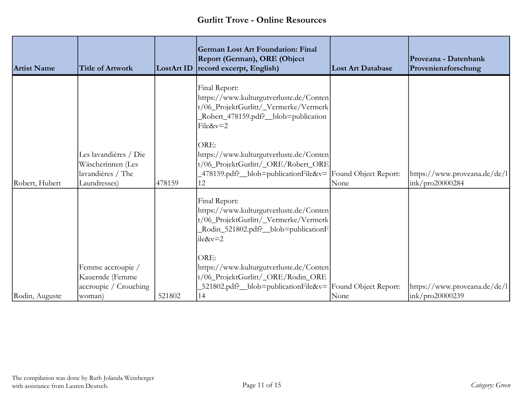| <b>Artist Name</b> | <b>Title of Artwork</b>                                                         | LostArt ID | <b>German Lost Art Foundation: Final</b><br>Report (German), ORE (Object<br>record excerpt, English)                                                         | <b>Lost Art Database</b> | Proveana - Datenbank<br>Provenienzforschung     |
|--------------------|---------------------------------------------------------------------------------|------------|--------------------------------------------------------------------------------------------------------------------------------------------------------------|--------------------------|-------------------------------------------------|
|                    |                                                                                 |            | Final Report:<br>https://www.kulturgutverluste.de/Conten<br>t/06_ProjektGurlitt/_Vermerke/Vermerk<br>Robert_478159.pdf?_blob=publication<br>File&v=2         |                          |                                                 |
| Robert, Hubert     | Les lavandières / Die<br>Wäscherinnen (Les<br>lavandières / The<br>Laundresses) | 478159     | ORE:<br>https://www.kulturgutverluste.de/Conten<br>t/06_ProjektGurlitt/_ORE/Robert_ORE<br>$-478159$ .pdf? blob=publicationFile&v= Found Object Report:<br>12 | None                     | https://www.proveana.de/de/l<br>ink/pro20000284 |
|                    |                                                                                 |            | Final Report:<br>https://www.kulturgutverluste.de/Conten<br>t/06_ProjektGurlitt/_Vermerke/Vermerk<br>Rodin_521802.pdf?_blob=publicationF<br>$ile&v=2$        |                          |                                                 |
| Rodin, Auguste     | Femme accroupie /<br>Kauernde (Femme<br>accroupie / Crouching<br>woman)         | 521802     | ORE:<br>https://www.kulturgutverluste.de/Conten<br>t/06_ProjektGurlitt/_ORE/Rodin_ORE<br>521802.pdf? _blob=publicationFile&v= Found Object Report:<br>14     | None                     | https://www.proveana.de/de/l<br>ink/pro20000239 |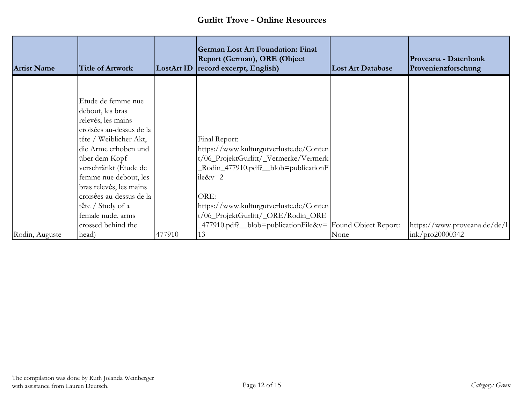| <b>Artist Name</b> | <b>Title of Artwork</b>                                                                                                                                                                                                                                              |        | <b>German Lost Art Foundation: Final</b><br>Report (German), ORE (Object<br>LostArt ID record excerpt, English)                                                | <b>Lost Art Database</b> | Proveana - Datenbank<br>Provenienzforschung |
|--------------------|----------------------------------------------------------------------------------------------------------------------------------------------------------------------------------------------------------------------------------------------------------------------|--------|----------------------------------------------------------------------------------------------------------------------------------------------------------------|--------------------------|---------------------------------------------|
|                    |                                                                                                                                                                                                                                                                      |        |                                                                                                                                                                |                          |                                             |
|                    | Etude de femme nue<br>debout, les bras<br>relevés, les mains<br>croisées au-dessus de la<br>tête / Weiblicher Akt,<br>die Arme erhoben und<br>über dem Kopf<br>verschränkt (Étude de<br>femme nue debout, les<br>bras relevés, les mains<br>croisées au-dessus de la |        | Final Report:<br>https://www.kulturgutverluste.de/Conten<br>t/06_ProjektGurlitt/_Vermerke/Vermerk<br>Rodin_477910.pdf?_blob=publicationF<br>$i$ le&v=2<br>ORE: |                          |                                             |
|                    | tête / Study of a                                                                                                                                                                                                                                                    |        | https://www.kulturgutverluste.de/Conten                                                                                                                        |                          |                                             |
|                    | female nude, arms                                                                                                                                                                                                                                                    |        | t/06_ProjektGurlitt/_ORE/Rodin_ORE                                                                                                                             |                          |                                             |
|                    | crossed behind the                                                                                                                                                                                                                                                   |        | 477910.pdf? _blob=publicationFile&v= Found Object Report:                                                                                                      |                          | https://www.proveana.de/de/l                |
| Rodin, Auguste     | head)                                                                                                                                                                                                                                                                | 477910 | 13                                                                                                                                                             | None                     | $\frac{1}{2}$ ink/pro20000342               |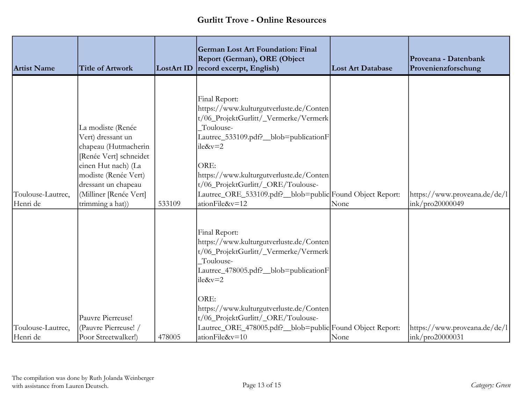| <b>Artist Name</b>            | <b>Title of Artwork</b>                                                                                                                                                                                      | LostArt ID | <b>German Lost Art Foundation: Final</b><br>Report (German), ORE (Object<br>record excerpt, English)                                                                                                                                                                                                                                        | <b>Lost Art Database</b> | Proveana - Datenbank<br>Provenienzforschung                   |
|-------------------------------|--------------------------------------------------------------------------------------------------------------------------------------------------------------------------------------------------------------|------------|---------------------------------------------------------------------------------------------------------------------------------------------------------------------------------------------------------------------------------------------------------------------------------------------------------------------------------------------|--------------------------|---------------------------------------------------------------|
| Toulouse-Lautrec,<br>Henri de | La modiste (Renée<br>Vert) dressant un<br>chapeau (Hutmacherin<br>[Renée Vert] schneidet<br>einen Hut nach) (La<br>modiste (Renée Vert)<br>dressant un chapeau<br>(Milliner [Renée Vert]<br>trimming a hat)) | 533109     | Final Report:<br>https://www.kulturgutverluste.de/Conten<br>t/06_ProjektGurlitt/_Vermerke/Vermerk<br>Toulouse-<br>Lautrec_533109.pdf?_blob=publicationF<br>ile&v=2<br>ORE:<br>https://www.kulturgutverluste.de/Conten<br>t/06_ProjektGurlitt/_ORE/Toulouse-<br>Lautrec_ORE_533109.pdf?_blob=public Found Object Report:<br>ationFile&v=12   | None                     | https://www.proveana.de/de/l<br>ink/pro20000049               |
| Toulouse-Lautrec,<br>Henri de | Pauvre Pierreuse!<br>(Pauvre Pierreuse!<br>Poor Streetwalker!)                                                                                                                                               | 478005     | Final Report:<br>https://www.kulturgutverluste.de/Conten<br>t/06_ProjektGurlitt/_Vermerke/Vermerk<br>Toulouse-<br>Lautrec_478005.pdf?_blob=publicationF<br>$lie&v=2$<br>ORE:<br>https://www.kulturgutverluste.de/Conten<br>t/06_ProjektGurlitt/_ORE/Toulouse-<br>Lautrec_ORE_478005.pdf?_blob=public Found Object Report:<br>ationFile&v=10 | None                     | https://www.proveana.de/de/l<br>$\frac{1}{2}$ ink/pro20000031 |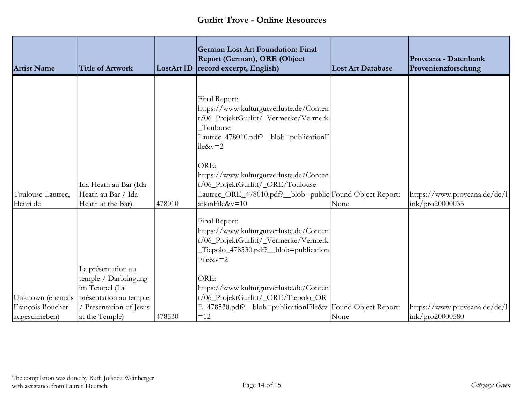| <b>Artist Name</b>                   | <b>Title of Artwork</b>                                                                                        | LostArt ID | <b>German Lost Art Foundation: Final</b><br>Report (German), ORE (Object<br>record excerpt, English)                                                                                                                                                                                                                                            | <b>Lost Art Database</b> | Proveana - Datenbank<br>Provenienzforschung     |
|--------------------------------------|----------------------------------------------------------------------------------------------------------------|------------|-------------------------------------------------------------------------------------------------------------------------------------------------------------------------------------------------------------------------------------------------------------------------------------------------------------------------------------------------|--------------------------|-------------------------------------------------|
| Toulouse-Lautrec,<br>Henri de        | Ida Heath au Bar (Ida<br>Heath au Bar / Ida<br>Heath at the Bar)                                               | 478010     | Final Report:<br>https://www.kulturgutverluste.de/Conten<br>t/06_ProjektGurlitt/_Vermerke/Vermerk<br>Toulouse-<br>Lautrec_478010.pdf?_blob=publicationF<br>$i$ le& $v=2$<br>ORE:<br>https://www.kulturgutverluste.de/Conten<br>t/06_ProjektGurlitt/_ORE/Toulouse-<br>Lautrec_ORE_478010.pdf?_blob=public Found Object Report:<br>ationFile&v=10 | None                     | https://www.proveana.de/de/l<br>ink/pro20000035 |
| Unknown (ehemals<br>François Boucher | La présentation au<br>temple / Darbringung<br>im Tempel (La<br>présentation au temple<br>Presentation of Jesus |            | Final Report:<br>https://www.kulturgutverluste.de/Conten<br>t/06_ProjektGurlitt/_Vermerke/Vermerk<br>Tiepolo_478530.pdf?_blob=publication<br>File&v=2<br>ORE:<br>https://www.kulturgutverluste.de/Conten<br>t/06_ProjektGurlitt/_ORE/Tiepolo_OR<br>E_478530.pdf?_blob=publicationFile&v Found Object Report:                                    |                          | https://www.proveana.de/de/l                    |
| zugeschrieben)                       | at the Temple)                                                                                                 | 478530     | $=12$                                                                                                                                                                                                                                                                                                                                           | None                     | ink/pro20000580                                 |